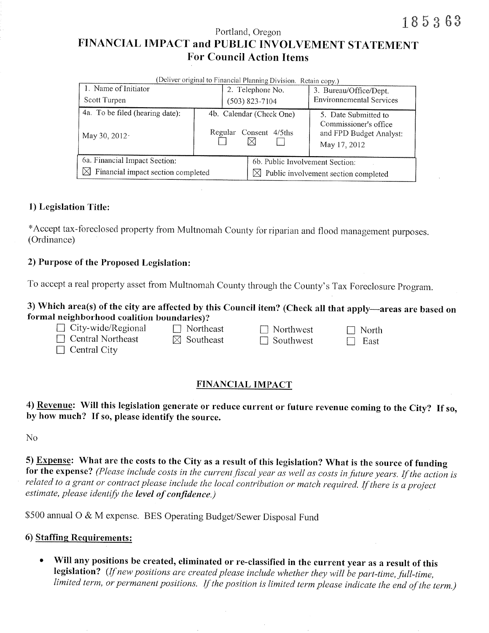Portland, Oregon

# FINANCIAL IMPACT and PUBLIC INVOLVEMENT STATEMENT **For Council Action Items**

| (Deliver original to Financial Planning Division. Retain copy.) |                                                       |                  |                                                  |                                                                                          |  |  |  |  |
|-----------------------------------------------------------------|-------------------------------------------------------|------------------|--------------------------------------------------|------------------------------------------------------------------------------------------|--|--|--|--|
| 1. Name of Initiator                                            |                                                       | 2. Telephone No. |                                                  | 3. Bureau/Office/Dept.                                                                   |  |  |  |  |
| Scott Turpen                                                    |                                                       | $(503)$ 823-7104 |                                                  | <b>Environnemental Services</b>                                                          |  |  |  |  |
| 4a. To be filed (hearing date):<br>May 30, 2012.                | 4b. Calendar (Check One)<br>Regular<br>Consent 4/5ths |                  |                                                  | 5. Date Submitted to<br>Commissioner's office<br>and FPD Budget Analyst:<br>May 17, 2012 |  |  |  |  |
| 6a. Financial Impact Section:                                   |                                                       |                  | 6b. Public Involvement Section:                  |                                                                                          |  |  |  |  |
| Financial impact section completed<br>IХI                       |                                                       |                  | $\boxtimes$ Public involvement section completed |                                                                                          |  |  |  |  |

## 1) Legislation Title:

\*Accept tax-foreclosed property from Multnomah County for riparian and flood management purposes. (Ordinance)

### 2) Purpose of the Proposed Legislation:

To accept a real property asset from Multnomah County through the County's Tax Foreclosure Program.

## 3) Which area(s) of the city are affected by this Council item? (Check all that apply-areas are based on formal neighborhood coalition boundaries)?

| City-wide/Regional | $\Box$ Northeast      | $\Box$ Northwest | $\Box$ North |
|--------------------|-----------------------|------------------|--------------|
| Central Northeast  | $\boxtimes$ Southeast | $\Box$ Southwest | $\Box$ East  |

 $\Box$  Central City

## **FINANCIAL IMPACT**

4) Revenue: Will this legislation generate or reduce current or future revenue coming to the City? If so, by how much? If so, please identify the source.

 $No$ 

5) Expense: What are the costs to the City as a result of this legislation? What is the source of funding for the expense? (Please include costs in the current fiscal year as well as costs in future years. If the action is related to a grant or contract please include the local contribution or match required. If there is a project estimate, please identify the level of confidence.)

\$500 annual O & M expense. BES Operating Budget/Sewer Disposal Fund

### 6) Staffing Requirements:

Will any positions be created, eliminated or re-classified in the current year as a result of this  $\bullet$ legislation? (If new positions are created please include whether they will be part-time, full-time, limited term, or permanent positions. If the position is limited term please indicate the end of the term.)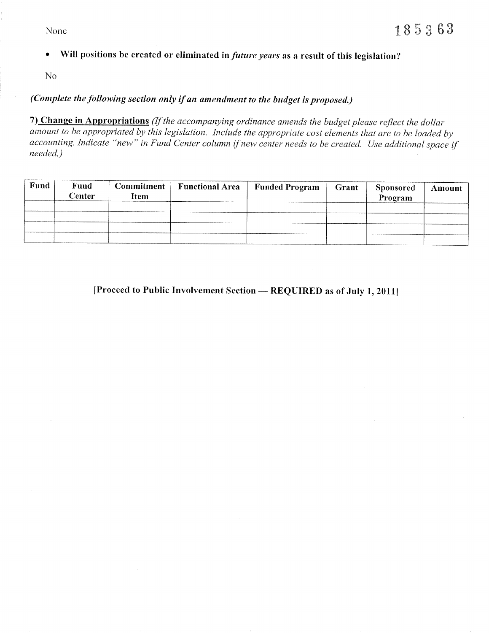None

Will positions be created or eliminated in future years as a result of this legislation?  $\bullet$ 

N<sub>o</sub>

# (Complete the following section only if an amendment to the budget is proposed.)

7) Change in Appropriations (If the accompanying ordinance amends the budget please reflect the dollar amount to be appropriated by this legislation. Include the appropriate cost elements that are to be loaded by accounting. Indicate "new" in Fund Center column if new center needs to be created. Use additional space if needed.)

| Fund | Fund<br>Center | Commitment  <br><b>Item</b> | Functional Area   Funded Program | Grant | Sponsored<br>Program | Amount |
|------|----------------|-----------------------------|----------------------------------|-------|----------------------|--------|
|      |                |                             |                                  |       |                      |        |
|      |                |                             |                                  |       |                      |        |
|      |                |                             |                                  |       |                      |        |
|      |                |                             |                                  |       |                      |        |

[Proceed to Public Involvement Section — REQUIRED as of July 1, 2011]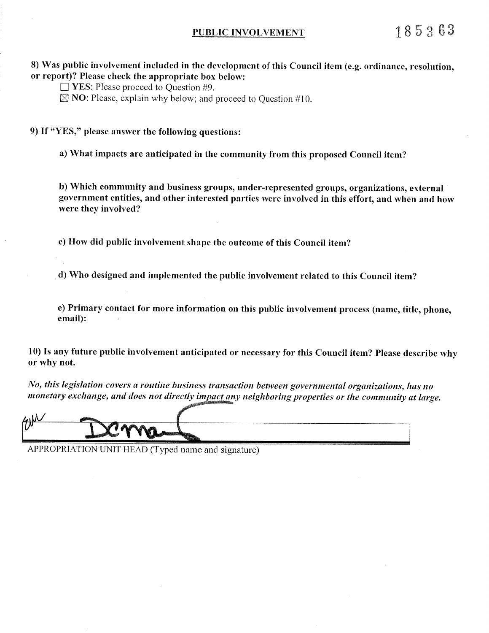#### PUBLIC INVOLVEMENT

8) Was public involvement included in the development of this Council item (e.g. ordinance, resolution, or report)? Please check the appropriate box below:

- $\Box$  YES: Please proceed to Question #9.
- $\boxtimes$  NO: Please, explain why below; and proceed to Question #10.

9) If "YES," please answer the following questions:

a) What impacts are anticipated in the community from this proposed Council item?

b) Which community and business groups, under-represented groups, organizations, external government entities, and other interested parties were involved in this effort, and when and how were they involved?

c) How did public involvement shape the outcome of this Council item?

d) Who designed and implemented the public involvement related to this Council item?

e) Primary contact for more information on this public involvement process (name, title, phone, email):

10) Is any future public involvement anticipated or necessary for this Council item? Please describe why or why not.

No, this legislation covers a routine business transaction between governmental organizations, has no monetary exchange, and does not directly impact any neighboring properties or the community at large.

APPROPRIATION UNIT HEAD (Typed name and signature)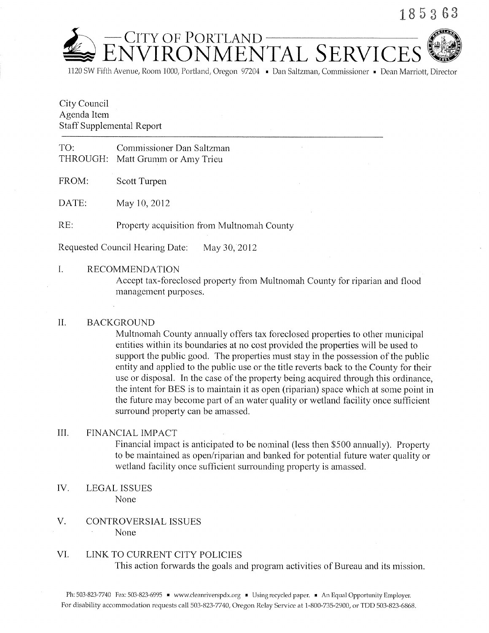

1120 SW Fifth Avenue, Room 1000, Portland, Oregon 97204 • Dan Saltzman, Commissioner • Dean Marriott. Director

CITY OF PORTLAND<br>JVIRONMENTAL SERVIC

### City Council Agenda Item **Staff Supplemental Report**

#### TO: Commissioner Dan Saltzman THROUGH: Matt Grumm or Amy Trieu

FROM: Scott Turpen

DATE: May 10, 2012

RE: Property acquisition from Multnomah County

Requested Council Hearing Date: May 30, 2012

L. **RECOMMENDATION** 

> Accept tax-foreclosed property from Multnomah County for riparian and flood management purposes.

#### $II.$ **BACKGROUND**

Multnomah County annually offers tax foreclosed properties to other municipal entities within its boundaries at no cost provided the properties will be used to support the public good. The properties must stay in the possession of the public entity and applied to the public use or the title reverts back to the County for their use or disposal. In the case of the property being acquired through this ordinance, the intent for BES is to maintain it as open (riparian) space which at some point in the future may become part of an water quality or wetland facility once sufficient surround property can be amassed.

#### III. FINANCIAL IMPACT

Financial impact is anticipated to be nominal (less then \$500 annually). Property to be maintained as open/riparian and banked for potential future water quality or wetland facility once sufficient surrounding property is amassed.

- IV. **LEGAL ISSUES** None
- V. **CONTROVERSIAL ISSUES** None

#### VI. LINK TO CURRENT CITY POLICIES

This action forwards the goals and program activities of Bureau and its mission.